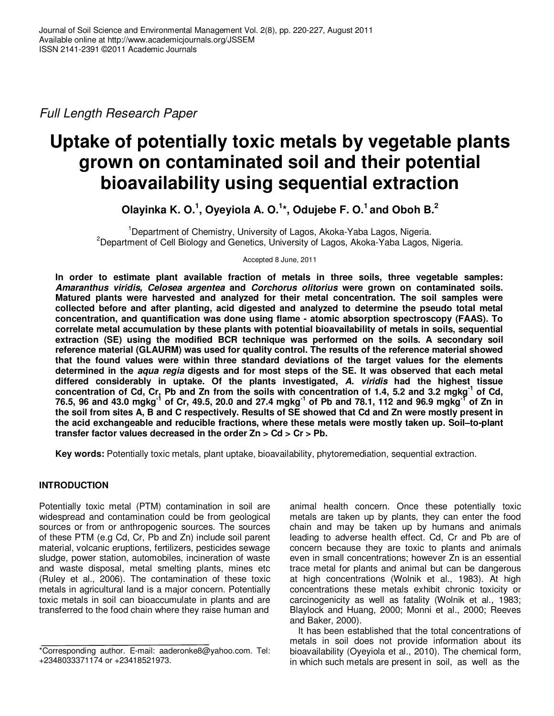Full Length Research Paper

# **Uptake of potentially toxic metals by vegetable plants grown on contaminated soil and their potential bioavailability using sequential extraction**

**Olayinka K. O.<sup>1</sup> , Oyeyiola A. O.<sup>1</sup> \*, Odujebe F. O.<sup>1</sup>and Oboh B.<sup>2</sup>**

<sup>1</sup>Department of Chemistry, University of Lagos, Akoka-Yaba Lagos, Nigeria. <sup>2</sup>Department of Cell Biology and Genetics, University of Lagos, Akoka-Yaba Lagos, Nigeria.

Accepted 8 June, 2011

**In order to estimate plant available fraction of metals in three soils, three vegetable samples: Amaranthus viridis, Celosea argentea and Corchorus olitorius were grown on contaminated soils. Matured plants were harvested and analyzed for their metal concentration. The soil samples were collected before and after planting, acid digested and analyzed to determine the pseudo total metal concentration, and quantification was done using flame - atomic absorption spectroscopy (FAAS). To correlate metal accumulation by these plants with potential bioavailability of metals in soils, sequential extraction (SE) using the modified BCR technique was performed on the soils. A secondary soil reference material (GLAURM) was used for quality control. The results of the reference material showed that the found values were within three standard deviations of the target values for the elements determined in the aqua regia digests and for most steps of the SE. It was observed that each metal differed considerably in uptake. Of the plants investigated, A. viridis had the highest tissue concentration of Cd, Cr, Pb and Zn from the soils with concentration of 1.4, 5.2 and 3.2 mgkg-1 of Cd, 76.5, 96 and 43.0 mgkg-1 of Cr, 49.5, 20.0 and 27.4 mgkg-1 of Pb and 78.1, 112 and 96.9 mgkg-1 of Zn in the soil from sites A, B and C respectively. Results of SE showed that Cd and Zn were mostly present in the acid exchangeable and reducible fractions, where these metals were mostly taken up. Soil–to-plant transfer factor values decreased in the order Zn > Cd > Cr > Pb.** 

**Key words:** Potentially toxic metals, plant uptake, bioavailability, phytoremediation, sequential extraction.

# **INTRODUCTION**

Potentially toxic metal (PTM) contamination in soil are widespread and contamination could be from geological sources or from or anthropogenic sources. The sources of these PTM (e.g Cd, Cr, Pb and Zn) include soil parent material, volcanic eruptions, fertilizers, pesticides sewage sludge, power station, automobiles, incineration of waste and waste disposal, metal smelting plants, mines etc (Ruley et al., 2006). The contamination of these toxic metals in agricultural land is a major concern. Potentially toxic metals in soil can bioaccumulate in plants and are transferred to the food chain where they raise human and

animal health concern. Once these potentially toxic metals are taken up by plants, they can enter the food chain and may be taken up by humans and animals leading to adverse health effect. Cd, Cr and Pb are of concern because they are toxic to plants and animals even in small concentrations; however Zn is an essential trace metal for plants and animal but can be dangerous at high concentrations (Wolnik et al., 1983). At high concentrations these metals exhibit chronic toxicity or carcinogenicity as well as fatality (Wolnik et al., 1983; Blaylock and Huang, 2000; Monni et al., 2000; Reeves and Baker, 2000).

It has been established that the total concentrations of metals in soil does not provide information about its bioavailability (Oyeyiola et al., 2010). The chemical form, in which such metals are present in soil, as well as the

<sup>\*</sup>Corresponding author. E-mail: aaderonke8@yahoo.com. Tel: +2348033371174 or +23418521973.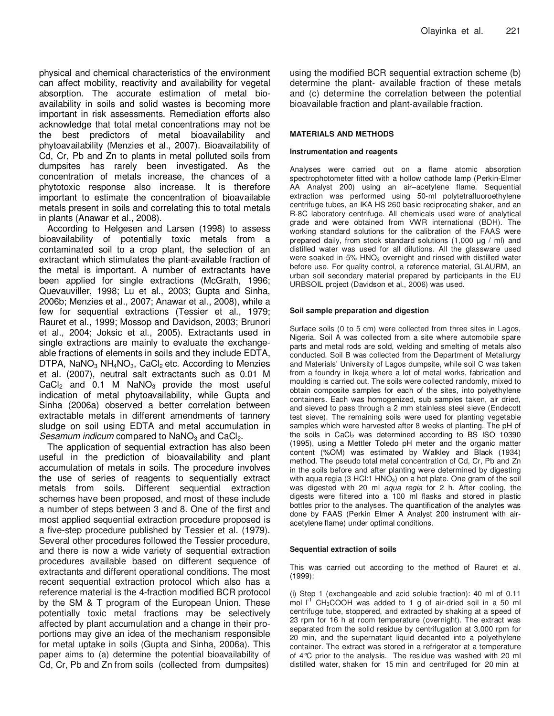physical and chemical characteristics of the environment can affect mobility, reactivity and availability for vegetal absorption. The accurate estimation of metal bioavailability in soils and solid wastes is becoming more important in risk assessments. Remediation efforts also acknowledge that total metal concentrations may not be the best predictors of metal bioavailability and phytoavailability (Menzies et al., 2007). Bioavailability of Cd, Cr, Pb and Zn to plants in metal polluted soils from dumpsites has rarely been investigated. As the concentration of metals increase, the chances of a phytotoxic response also increase. It is therefore important to estimate the concentration of bioavailable metals present in soils and correlating this to total metals in plants (Anawar et al., 2008).

According to Helgesen and Larsen (1998) to assess bioavailability of potentially toxic metals from a contaminated soil to a crop plant, the selection of an extractant which stimulates the plant-available fraction of the metal is important. A number of extractants have been applied for single extractions (McGrath, 1996; Quevauviller, 1998; Lu et al., 2003; Gupta and Sinha, 2006b; Menzies et al., 2007; Anawar et al., 2008), while a few for sequential extractions (Tessier et al., 1979; Rauret et al., 1999; Mossop and Davidson, 2003; Brunori et al., 2004; Joksic et al., 2005). Extractants used in single extractions are mainly to evaluate the exchangeable fractions of elements in soils and they include EDTA, DTPA, NaNO<sub>3</sub> NH<sub>4</sub>NO<sub>3</sub>, CaCl<sub>2</sub> etc. According to Menzies et al. (2007), neutral salt extractants such as 0.01 M CaCl<sub>2</sub> and 0.1 M NaNO<sub>3</sub> provide the most useful indication of metal phytoavailability, while Gupta and Sinha (2006a) observed a better correlation between extractable metals in different amendments of tannery sludge on soil using EDTA and metal accumulation in Sesamum indicum compared to  $NaNO<sub>3</sub>$  and CaCl<sub>2</sub>.

The application of sequential extraction has also been useful in the prediction of bioavailability and plant accumulation of metals in soils. The procedure involves the use of series of reagents to sequentially extract metals from soils. Different sequential extraction schemes have been proposed, and most of these include a number of steps between 3 and 8. One of the first and most applied sequential extraction procedure proposed is a five-step procedure published by Tessier et al. (1979). Several other procedures followed the Tessier procedure, and there is now a wide variety of sequential extraction procedures available based on different sequence of extractants and different operational conditions. The most recent sequential extraction protocol which also has a reference material is the 4-fraction modified BCR protocol by the SM & T program of the European Union. These potentially toxic metal fractions may be selectively affected by plant accumulation and a change in their proportions may give an idea of the mechanism responsible for metal uptake in soils (Gupta and Sinha, 2006a). This paper aims to (a) determine the potential bioavailability of Cd, Cr, Pb and Zn from soils (collected from dumpsites)

using the modified BCR sequential extraction scheme (b) determine the plant- available fraction of these metals and (c) determine the correlation between the potential bioavailable fraction and plant-available fraction.

## **MATERIALS AND METHODS**

## **Instrumentation and reagents**

Analyses were carried out on a flame atomic absorption spectrophotometer fitted with a hollow cathode lamp (Perkin-Elmer AA Analyst 200) using an air–acetylene flame. Sequential extraction was performed using 50-ml polytetrafluoroethylene centrifuge tubes, an IKA HS 260 basic reciprocating shaker, and an R-8C laboratory centrifuge. All chemicals used were of analytical grade and were obtained from VWR international (BDH). The working standard solutions for the calibration of the FAAS were prepared daily, from stock standard solutions (1,000 µg / ml) and distilled water was used for all dilutions. All the glassware used were soaked in 5% HNO<sub>3</sub> overnight and rinsed with distilled water before use. For quality control, a reference material, GLAURM, an urban soil secondary material prepared by participants in the EU URBSOIL project (Davidson et al., 2006) was used.

### **Soil sample preparation and digestion**

Surface soils (0 to 5 cm) were collected from three sites in Lagos, Nigeria. Soil A was collected from a site where automobile spare parts and metal rods are sold, welding and smelting of metals also conducted. Soil B was collected from the Department of Metallurgy and Materials' University of Lagos dumpsite, while soil C was taken from a foundry in Ikeja where a lot of metal works, fabrication and moulding is carried out. The soils were collected randomly, mixed to obtain composite samples for each of the sites, into polyethylene containers. Each was homogenized, sub samples taken, air dried, and sieved to pass through a 2 mm stainless steel sieve (Endecott test sieve). The remaining soils were used for planting vegetable samples which were harvested after 8 weeks of planting. The pH of the soils in  $CaCl<sub>2</sub>$  was determined according to BS ISO 10390 (1995), using a Mettler Toledo pH meter and the organic matter content (%OM) was estimated by Walkley and Black (1934) method. The pseudo total metal concentration of Cd, Cr, Pb and Zn in the soils before and after planting were determined by digesting with aqua regia (3 HCl:1  $HNO<sub>3</sub>$ ) on a hot plate. One gram of the soil was digested with 20 ml aqua regia for 2 h. After cooling, the digests were filtered into a 100 ml flasks and stored in plastic bottles prior to the analyses. The quantification of the analytes was done by FAAS (Perkin Elmer A Analyst 200 instrument with airacetylene flame) under optimal conditions.

#### **Sequential extraction of soils**

This was carried out according to the method of Rauret et al. (1999):

(i) Step 1 (exchangeable and acid soluble fraction): 40 ml of 0.11 mol  $I^{\prime}$  CH<sub>3</sub>COOH was added to 1 g of air-dried soil in a 50 ml centrifuge tube, stoppered, and extracted by shaking at a speed of 23 rpm for 16 h at room temperature (overnight). The extract was separated from the solid residue by centrifugation at 3,000 rpm for 20 min, and the supernatant liquid decanted into a polyethylene container. The extract was stored in a refrigerator at a temperature of 4°C prior to the analysis. The residue was washed with 20 ml distilled water, shaken for 15 min and centrifuged for 20 min at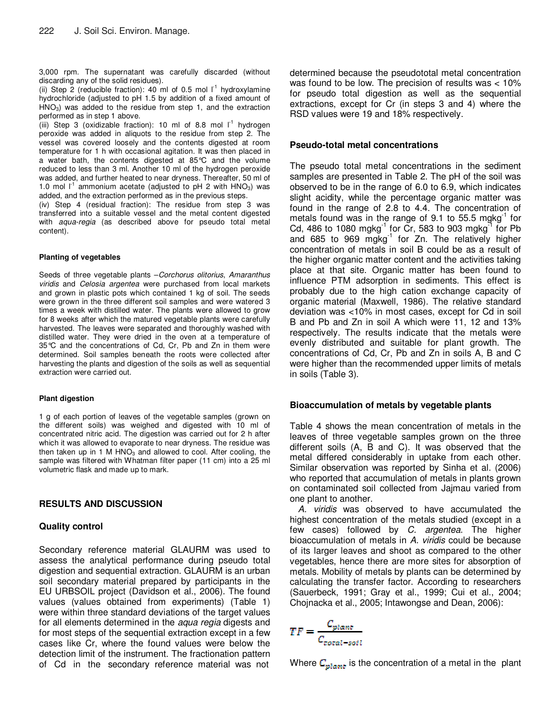3,000 rpm. The supernatant was carefully discarded (without discarding any of the solid residues).

(ii) Step 2 (reducible fraction): 40 ml of 0.5 mol  $I^1$  hydroxylamine hydrochloride (adjusted to pH 1.5 by addition of a fixed amount of  $HNO<sub>3</sub>$ ) was added to the residue from step 1, and the extraction performed as in step 1 above.

(iii) Step 3 (oxidizable fraction): 10 ml of 8.8 mol  $I^1$  hydrogen peroxide was added in aliquots to the residue from step 2. The vessel was covered loosely and the contents digested at room temperature for 1 h with occasional agitation. It was then placed in a water bath, the contents digested at 85°C and the volume reduced to less than 3 ml. Another 10 ml of the hydrogen peroxide was added, and further heated to near dryness. Thereafter, 50 ml of 1.0 mol  $I^1$  ammonium acetate (adjusted to pH 2 with HNO<sub>3</sub>) was added, and the extraction performed as in the previous steps.

(iv) Step 4 (residual fraction): The residue from step 3 was transferred into a suitable vessel and the metal content digested with aqua-regia (as described above for pseudo total metal content).

### **Planting of vegetables**

Seeds of three vegetable plants - Corchorus olitorius, Amaranthus viridis and Celosia argentea were purchased from local markets and grown in plastic pots which contained 1 kg of soil. The seeds were grown in the three different soil samples and were watered 3 times a week with distilled water. The plants were allowed to grow for 8 weeks after which the matured vegetable plants were carefully harvested. The leaves were separated and thoroughly washed with distilled water. They were dried in the oven at a temperature of 35°C and the concentrations of Cd, Cr, Pb and Zn in them were determined. Soil samples beneath the roots were collected after harvesting the plants and digestion of the soils as well as sequential extraction were carried out.

## **Plant digestion**

1 g of each portion of leaves of the vegetable samples (grown on the different soils) was weighed and digested with 10 ml of concentrated nitric acid. The digestion was carried out for 2 h after which it was allowed to evaporate to near dryness. The residue was then taken up in 1 M  $HNO<sub>3</sub>$  and allowed to cool. After cooling, the sample was filtered with Whatman filter paper (11 cm) into a 25 ml volumetric flask and made up to mark.

# **RESULTS AND DISCUSSION**

# **Quality control**

Secondary reference material GLAURM was used to assess the analytical performance during pseudo total digestion and sequential extraction. GLAURM is an urban soil secondary material prepared by participants in the EU URBSOIL project (Davidson et al., 2006). The found values (values obtained from experiments) (Table 1) were within three standard deviations of the target values for all elements determined in the *aqua regia* digests and for most steps of the sequential extraction except in a few cases like Cr, where the found values were below the detection limit of the instrument. The fractionation pattern of Cd in the secondary reference material was not determined because the pseudototal metal concentration was found to be low. The precision of results was < 10% for pseudo total digestion as well as the sequential extractions, except for Cr (in steps 3 and 4) where the RSD values were 19 and 18% respectively.

# **Pseudo-total metal concentrations**

The pseudo total metal concentrations in the sediment samples are presented in Table 2. The pH of the soil was observed to be in the range of 6.0 to 6.9, which indicates slight acidity, while the percentage organic matter was found in the range of 2.8 to 4.4. The concentration of metals found was in the range of 9.1 to 55.5 mgkg $^{-1}$  for Cd, 486 to 1080 mgkg<sup>-1</sup> for Cr, 583 to 903 mgkg<sup>-1</sup> for Pb and 685 to 969 mgkg<sup>-1</sup> for Zn. The relatively higher concentration of metals in soil B could be as a result of the higher organic matter content and the activities taking place at that site. Organic matter has been found to influence PTM adsorption in sediments. This effect is probably due to the high cation exchange capacity of organic material (Maxwell, 1986). The relative standard deviation was <10% in most cases, except for Cd in soil B and Pb and Zn in soil A which were 11, 12 and 13% respectively. The results indicate that the metals were evenly distributed and suitable for plant growth. The concentrations of Cd, Cr, Pb and Zn in soils A, B and C were higher than the recommended upper limits of metals in soils (Table 3).

# **Bioaccumulation of metals by vegetable plants**

Table 4 shows the mean concentration of metals in the leaves of three vegetable samples grown on the three different soils (A, B and C). It was observed that the metal differed considerably in uptake from each other. Similar observation was reported by Sinha et al. (2006) who reported that accumulation of metals in plants grown on contaminated soil collected from Jajmau varied from one plant to another.

A. viridis was observed to have accumulated the highest concentration of the metals studied (except in a few cases) followed by C. argentea. The higher bioaccumulation of metals in A. viridis could be because of its larger leaves and shoot as compared to the other vegetables, hence there are more sites for absorption of metals. Mobility of metals by plants can be determined by calculating the transfer factor. According to researchers (Sauerbeck, 1991; Gray et al., 1999; Cui et al., 2004; Chojnacka et al., 2005; Intawongse and Dean, 2006):

$$
TF = \frac{C_{plan\epsilon}}{C_{total-soil}}
$$

Where  $C_{\text{planet}}$  is the concentration of a metal in the plant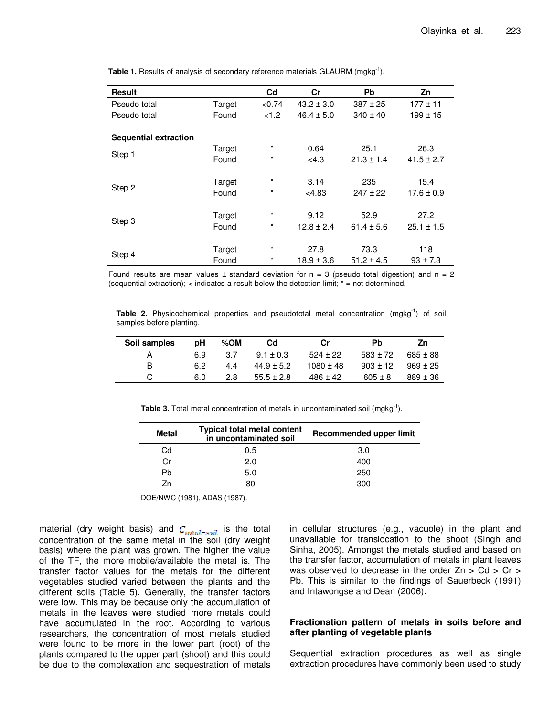| <b>Result</b>                |        | C <sub>d</sub> | Cr             | <b>Pb</b>      | Zn             |
|------------------------------|--------|----------------|----------------|----------------|----------------|
| Pseudo total                 | Target | < 0.74         | $43.2 \pm 3.0$ | $387 \pm 25$   | $177 \pm 11$   |
| Pseudo total                 | Found  | < 1.2          | $46.4 \pm 5.0$ | $340 \pm 40$   | $199 \pm 15$   |
|                              |        |                |                |                |                |
| <b>Sequential extraction</b> |        |                |                |                |                |
|                              | Target | $\star$        | 0.64           | 25.1           | 26.3           |
| Step 1                       | Found  | $^\star$       | <4.3           | $21.3 \pm 1.4$ | $41.5 \pm 2.7$ |
|                              |        |                |                |                |                |
|                              | Target | $\star$        | 3.14           | 235            | 15.4           |
| Step 2                       | Found  | $^\star$       | <4.83          | $247 \pm 22$   | $17.6 \pm 0.9$ |
|                              |        |                |                |                |                |
|                              | Target | $\star$        | 9.12           | 52.9           | 27.2           |
| Step 3                       | Found  | $^\star$       | $12.8 \pm 2.4$ | $61.4 \pm 5.6$ | $25.1 \pm 1.5$ |
|                              |        |                |                |                |                |
|                              | Target | $\star$        | 27.8           | 73.3           | 118            |
| Step 4                       | Found  | $\star$        | $18.9 \pm 3.6$ | $51.2 \pm 4.5$ | $93 \pm 7.3$   |

**Table 1.** Results of analysis of secondary reference materials GLAURM (mgkg<sup>-1</sup>).

Found results are mean values  $\pm$  standard deviation for  $n = 3$  (pseudo total digestion) and  $n = 2$ (sequential extraction); < indicates a result below the detection limit; \* = not determined.

**Table 2.** Physicochemical properties and pseudototal metal concentration (mgkg<sup>-1</sup>) of soil samples before planting.

| Soil samples | рH  | % $OM$ | Cd             | Сr            | <b>Pb</b>    | Ζn           |
|--------------|-----|--------|----------------|---------------|--------------|--------------|
|              | 6.9 | 3.Z    | $9.1 + 0.3$    | $524 + 22$    | $583 + 72$   | $685 \pm 88$ |
| B            | 6.2 | 4.4    | $44.9 \pm 5.2$ | $1080 \pm 48$ | $903 \pm 12$ | $969 \pm 25$ |
|              | 6.0 | 2.8    | $55.5 \pm 2.8$ | $486 \pm 42$  | $605 \pm 8$  | $889 \pm 36$ |

**Table 3.** Total metal concentration of metals in uncontaminated soil (mgkg<sup>-1</sup>).

| Metal | <b>Typical total metal content</b><br>in uncontaminated soil | Recommended upper limit |
|-------|--------------------------------------------------------------|-------------------------|
| Cd    | 0.5                                                          | 3.0                     |
| Сr    | 2.0                                                          | 400                     |
| Pb    | 5.0                                                          | 250                     |
| 7n    | 80                                                           | 300                     |

DOE/NWC (1981), ADAS (1987).

material (dry weight basis) and  $C_{total-srit}$  is the total concentration of the same metal in the soil (dry weight basis) where the plant was grown. The higher the value of the TF, the more mobile/available the metal is. The transfer factor values for the metals for the different vegetables studied varied between the plants and the different soils (Table 5). Generally, the transfer factors were low. This may be because only the accumulation of metals in the leaves were studied more metals could have accumulated in the root. According to various researchers, the concentration of most metals studied were found to be more in the lower part (root) of the plants compared to the upper part (shoot) and this could be due to the complexation and sequestration of metals in cellular structures (e.g., vacuole) in the plant and unavailable for translocation to the shoot (Singh and Sinha, 2005). Amongst the metals studied and based on the transfer factor, accumulation of metals in plant leaves was observed to decrease in the order  $Zn > Cd > Cr >$ Pb. This is similar to the findings of Sauerbeck (1991) and Intawongse and Dean (2006).

## **Fractionation pattern of metals in soils before and after planting of vegetable plants**

Sequential extraction procedures as well as single extraction procedures have commonly been used to study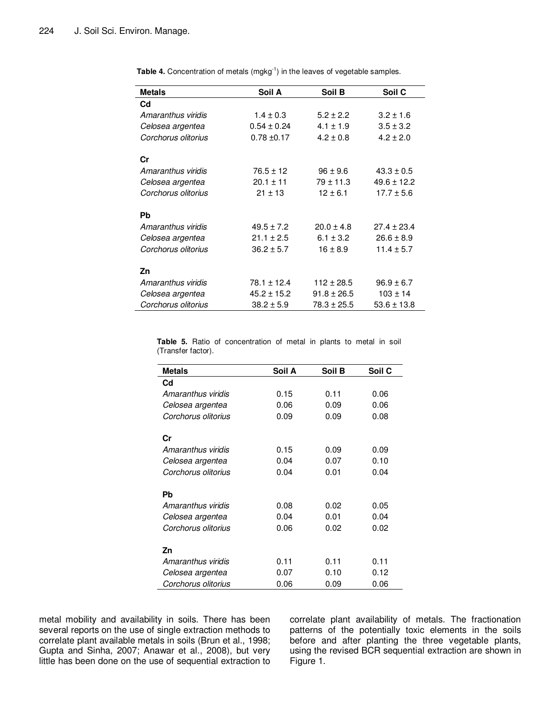| <b>Metals</b>       | Soil A          | Soil B          | Soil C          |
|---------------------|-----------------|-----------------|-----------------|
| $_{\rm Cd}$         |                 |                 |                 |
| Amaranthus viridis  | $1.4 \pm 0.3$   | $5.2 \pm 2.2$   | $3.2 \pm 1.6$   |
| Celosea argentea    | $0.54 \pm 0.24$ | $4.1 \pm 1.9$   | $3.5 \pm 3.2$   |
| Corchorus olitorius | $0.78 \pm 0.17$ | $4.2 \pm 0.8$   | $4.2 \pm 2.0$   |
| Cr                  |                 |                 |                 |
| Amaranthus viridis  | $76.5 \pm 12$   | $96 \pm 9.6$    | $43.3 \pm 0.5$  |
| Celosea argentea    | $20.1 \pm 11$   | $79 \pm 11.3$   | $49.6 \pm 12.2$ |
| Corchorus olitorius | $21 \pm 13$     | $12 \pm 6.1$    | $17.7 \pm 5.6$  |
| Pb                  |                 |                 |                 |
| Amaranthus viridis  | $49.5 \pm 7.2$  | $20.0 \pm 4.8$  | $27.4 \pm 23.4$ |
| Celosea argentea    | $21.1 \pm 2.5$  | $6.1 \pm 3.2$   | $26.6 \pm 8.9$  |
| Corchorus olitorius | $36.2 \pm 5.7$  | $16 \pm 8.9$    | $11.4 \pm 5.7$  |
| Zn                  |                 |                 |                 |
| Amaranthus viridis  | $78.1 \pm 12.4$ | $112 \pm 28.5$  | $96.9 \pm 6.7$  |
| Celosea argentea    | $45.2 \pm 15.2$ | $91.8 \pm 26.5$ | $103 \pm 14$    |
| Corchorus olitorius | $38.2 \pm 5.9$  | $78.3 \pm 25.5$ | $53.6 \pm 13.8$ |

Table 4. Concentration of metals (mgkg<sup>-1</sup>) in the leaves of vegetable samples.

**Table 5.** Ratio of concentration of metal in plants to metal in soil (Transfer factor).

| <b>Metals</b>       | Soil A | Soil B | Soil C |
|---------------------|--------|--------|--------|
| Cd                  |        |        |        |
| Amaranthus viridis  | 0.15   | 0.11   | 0.06   |
| Celosea argentea    | 0.06   | 0.09   | 0.06   |
| Corchorus olitorius | 0.09   | 0.09   | 0.08   |
| Сr                  |        |        |        |
| Amaranthus viridis  | 0.15   | 0.09   | 0.09   |
| Celosea argentea    | 0.04   | 0.07   | 0.10   |
| Corchorus olitorius | 0.04   | 0.01   | 0.04   |
| Pb                  |        |        |        |
| Amaranthus viridis  | 0.08   | 0.02   | 0.05   |
| Celosea argentea    | 0.04   | 0.01   | 0.04   |
| Corchorus olitorius | 0.06   | 0.02   | 0.02   |
| Zn                  |        |        |        |
| Amaranthus viridis  | 0.11   | 0.11   | 0.11   |
| Celosea argentea    | 0.07   | 0.10   | 0.12   |
| Corchorus olitorius | 0.06   | 0.09   | 0.06   |

metal mobility and availability in soils. There has been several reports on the use of single extraction methods to correlate plant available metals in soils (Brun et al., 1998; Gupta and Sinha, 2007; Anawar et al., 2008), but very little has been done on the use of sequential extraction to correlate plant availability of metals. The fractionation patterns of the potentially toxic elements in the soils before and after planting the three vegetable plants, using the revised BCR sequential extraction are shown in Figure 1.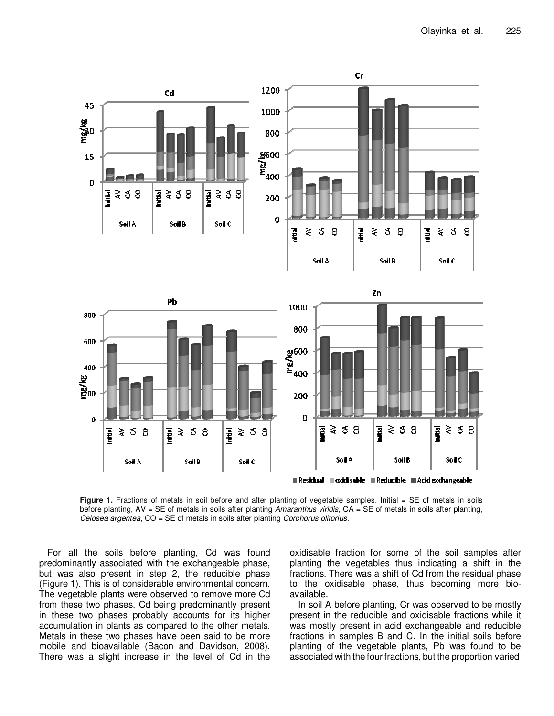

Figure 1. Fractions of metals in soil before and after planting of vegetable samples. Initial = SE of metals in soils before planting, AV = SE of metals in soils after planting Amaranthus viridis, CA = SE of metals in soils after planting, Celosea argentea, CO = SE of metals in soils after planting Corchorus olitorius.

For all the soils before planting, Cd was found predominantly associated with the exchangeable phase, but was also present in step 2, the reducible phase (Figure 1). This is of considerable environmental concern. The vegetable plants were observed to remove more Cd from these two phases. Cd being predominantly present in these two phases probably accounts for its higher accumulation in plants as compared to the other metals. Metals in these two phases have been said to be more mobile and bioavailable (Bacon and Davidson, 2008). There was a slight increase in the level of Cd in the

oxidisable fraction for some of the soil samples after planting the vegetables thus indicating a shift in the fractions. There was a shift of Cd from the residual phase to the oxidisable phase, thus becoming more bioavailable.

In soil A before planting, Cr was observed to be mostly present in the reducible and oxidisable fractions while it was mostly present in acid exchangeable and reducible fractions in samples B and C. In the initial soils before planting of the vegetable plants, Pb was found to be associated with the four fractions, but the proportion varied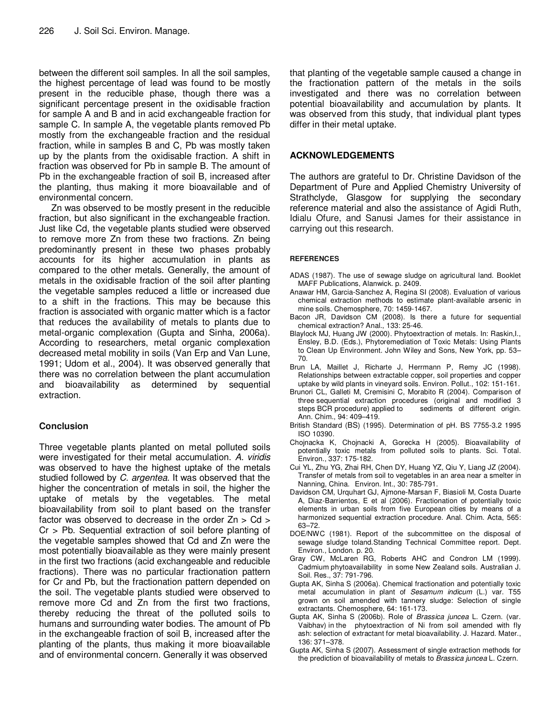between the different soil samples. In all the soil samples, the highest percentage of lead was found to be mostly present in the reducible phase, though there was a significant percentage present in the oxidisable fraction for sample A and B and in acid exchangeable fraction for sample C. In sample A, the vegetable plants removed Pb mostly from the exchangeable fraction and the residual fraction, while in samples B and C, Pb was mostly taken up by the plants from the oxidisable fraction. A shift in fraction was observed for Pb in sample B. The amount of Pb in the exchangeable fraction of soil B, increased after the planting, thus making it more bioavailable and of environmental concern.

Zn was observed to be mostly present in the reducible fraction, but also significant in the exchangeable fraction. Just like Cd, the vegetable plants studied were observed to remove more Zn from these two fractions. Zn being predominantly present in these two phases probably accounts for its higher accumulation in plants as compared to the other metals. Generally, the amount of metals in the oxidisable fraction of the soil after planting the vegetable samples reduced a little or increased due to a shift in the fractions. This may be because this fraction is associated with organic matter which is a factor that reduces the availability of metals to plants due to metal-organic complexation (Gupta and Sinha, 2006a). According to researchers, metal organic complexation decreased metal mobility in soils (Van Erp and Van Lune, 1991; Udom et al., 2004). It was observed generally that there was no correlation between the plant accumulation and bioavailability as determined by sequential extraction.

# **Conclusion**

Three vegetable plants planted on metal polluted soils were investigated for their metal accumulation. A. viridis was observed to have the highest uptake of the metals studied followed by C. argentea. It was observed that the higher the concentration of metals in soil, the higher the uptake of metals by the vegetables. The metal bioavailability from soil to plant based on the transfer factor was observed to decrease in the order Zn > Cd > Cr > Pb. Sequential extraction of soil before planting of the vegetable samples showed that Cd and Zn were the most potentially bioavailable as they were mainly present in the first two fractions (acid exchangeable and reducible fractions). There was no particular fractionation pattern for Cr and Pb, but the fractionation pattern depended on the soil. The vegetable plants studied were observed to remove more Cd and Zn from the first two fractions, thereby reducing the threat of the polluted soils to humans and surrounding water bodies. The amount of Pb in the exchangeable fraction of soil B, increased after the planting of the plants, thus making it more bioavailable and of environmental concern. Generally it was observed

that planting of the vegetable sample caused a change in the fractionation pattern of the metals in the soils investigated and there was no correlation between potential bioavailability and accumulation by plants. It was observed from this study, that individual plant types differ in their metal uptake.

## **ACKNOWLEDGEMENTS**

The authors are grateful to Dr. Christine Davidson of the Department of Pure and Applied Chemistry University of Strathclyde, Glasgow for supplying the secondary reference material and also the assistance of Agidi Ruth, Idialu Ofure, and Sanusi James for their assistance in carrying out this research.

## **REFERENCES**

- ADAS (1987). The use of sewage sludge on agricultural land. Booklet MAFF Publications, Alanwick. p. 2409.
- Anawar HM, Garcia-Sanchez A, Regina SI (2008). Evaluation of various chemical extraction methods to estimate plant-available arsenic in mine soils. Chemosphere, 70: 1459-1467.
- Bacon JR, Davidson CM (2008). Is there a future for sequential chemical extraction? Anal., 133: 25-46.
- Blaylock MJ, Huang JW (2000). Phytoextraction of metals. In: Raskin,I., Ensley, B.D. (Eds.), Phytoremediation of Toxic Metals: Using Plants to Clean Up Environment. John Wiley and Sons, New York, pp. 53– 70.
- Brun LA, Maillet J, Richarte J, Herrmann P, Remy JC (1998). Relationships between extractable copper, soil properties and copper uptake by wild plants in vineyard soils. Environ. Pollut., 102: 151-161.
- Brunori CL, Galleti M, Cremisini C, Morabito R (2004). Comparison of three sequential extraction procedures (original and modified 3 steps BCR procedure) applied to Ann. Chim., 94: 409–419.
- British Standard (BS) (1995). Determination of pH. BS 7755-3.2 1995 ISO 10390.
- Chojnacka K, Chojnacki A, Gorecka H (2005). Bioavailability of potentially toxic metals from polluted soils to plants. Sci. Total. Environ., 337: 175-182.
- Cui YL, Zhu YG, Zhai RH, Chen DY, Huang YZ, Qiu Y, Liang JZ (2004). Transfer of metals from soil to vegetables in an area near a smelter in Nanning, China. Environ. Int., 30: 785-791.
- Davidson CM, Urquhart GJ, Ajmone-Marsan F, Biasioli M, Costa Duarte A, Diaz-Barrientos, E et al (2006). Fractionation of potentially toxic elements in urban soils from five European cities by means of a harmonized sequential extraction procedure. Anal. Chim. Acta, 565: 63–72.
- DOE/NWC (1981). Report of the subcommittee on the disposal of sewage sludge toland.Standing Technical Committee report. Dept. Environ., London. p. 20.
- Gray CW, McLaren RG, Roberts AHC and Condron LM (1999). Cadmium phytoavailability in some New Zealand soils. Australian J. Soil. Res., 37: 791-796.
- Gupta AK, Sinha S (2006a). Chemical fractionation and potentially toxic metal accumulation in plant of Sesamum indicum (L.) var. T55 grown on soil amended with tannery sludge: Selection of single extractants. Chemosphere, 64: 161-173.
- Gupta AK, Sinha S (2006b). Role of Brassica juncea L. Czern. (var. Vaibhav) in the phytoextraction of Ni from soil amended with fly ash: selection of extractant for metal bioavailability. J. Hazard. Mater., 136: 371–378.
- Gupta AK, Sinha S (2007). Assessment of single extraction methods for the prediction of bioavailability of metals to Brassica juncea L. Czern.